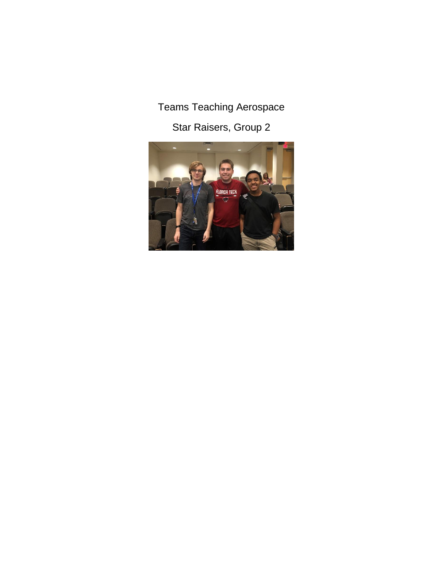# Teams Teaching Aerospace

Star Raisers, Group 2

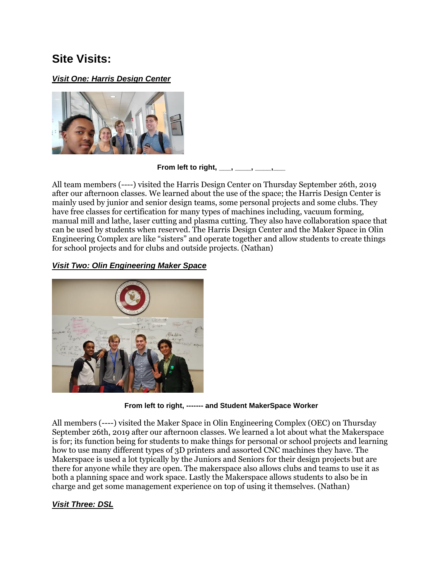# **Site Visits:**

### *Visit One: Harris Design Center*



**From left to right, \_\_\_, \_\_\_\_, \_\_\_\_,\_\_\_**

All team members (----) visited the Harris Design Center on Thursday September 26th, 2019 after our afternoon classes. We learned about the use of the space; the Harris Design Center is mainly used by junior and senior design teams, some personal projects and some clubs. They have free classes for certification for many types of machines including, vacuum forming, manual mill and lathe, laser cutting and plasma cutting. They also have collaboration space that can be used by students when reserved. The Harris Design Center and the Maker Space in Olin Engineering Complex are like "sisters" and operate together and allow students to create things for school projects and for clubs and outside projects. (Nathan)

### *Visit Two: Olin Engineering Maker Space*



**From left to right, ------- and Student MakerSpace Worker**

All members (----) visited the Maker Space in Olin Engineering Complex (OEC) on Thursday September 26th, 2019 after our afternoon classes. We learned a lot about what the Makerspace is for; its function being for students to make things for personal or school projects and learning how to use many different types of 3D printers and assorted CNC machines they have. The Makerspace is used a lot typically by the Juniors and Seniors for their design projects but are there for anyone while they are open. The makerspace also allows clubs and teams to use it as both a planning space and work space. Lastly the Makerspace allows students to also be in charge and get some management experience on top of using it themselves. (Nathan)

## *Visit Three: DSL*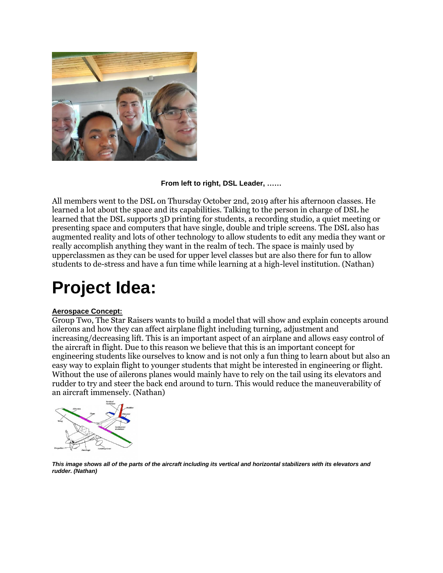

#### **From left to right, DSL Leader, ……**

All members went to the DSL on Thursday October 2nd, 2019 after his afternoon classes. He learned a lot about the space and its capabilities. Talking to the person in charge of DSL he learned that the DSL supports 3D printing for students, a recording studio, a quiet meeting or presenting space and computers that have single, double and triple screens. The DSL also has augmented reality and lots of other technology to allow students to edit any media they want or really accomplish anything they want in the realm of tech. The space is mainly used by upperclassmen as they can be used for upper level classes but are also there for fun to allow students to de-stress and have a fun time while learning at a high-level institution. (Nathan)

# **Project Idea:**

#### **Aerospace Concept:**

Group Two, The Star Raisers wants to build a model that will show and explain concepts around ailerons and how they can affect airplane flight including turning, adjustment and increasing/decreasing lift. This is an important aspect of an airplane and allows easy control of the aircraft in flight. Due to this reason we believe that this is an important concept for engineering students like ourselves to know and is not only a fun thing to learn about but also an easy way to explain flight to younger students that might be interested in engineering or flight. Without the use of ailerons planes would mainly have to rely on the tail using its elevators and rudder to try and steer the back end around to turn. This would reduce the maneuverability of an aircraft immensely. (Nathan)



*This image shows all of the parts of the aircraft including its vertical and horizontal stabilizers with its elevators and rudder. (Nathan)*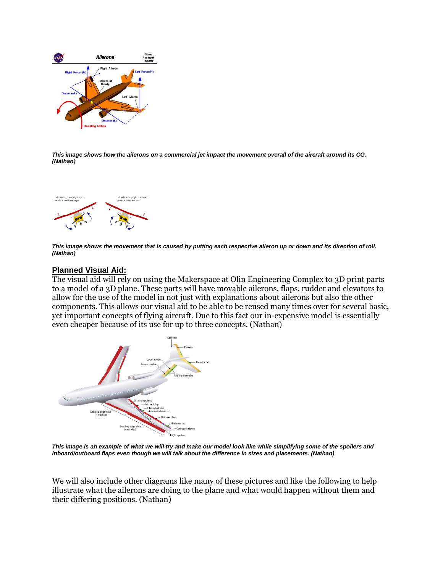

*This image shows how the ailerons on a commercial jet impact the movement overall of the aircraft around its CG. (Nathan)*



*This image shows the movement that is caused by putting each respective aileron up or down and its direction of roll. (Nathan)*

#### **Planned Visual Aid:**

The visual aid will rely on using the Makerspace at Olin Engineering Complex to 3D print parts to a model of a 3D plane. These parts will have movable ailerons, flaps, rudder and elevators to allow for the use of the model in not just with explanations about ailerons but also the other components. This allows our visual aid to be able to be reused many times over for several basic, yet important concepts of flying aircraft. Due to this fact our in-expensive model is essentially even cheaper because of its use for up to three concepts. (Nathan)



*This image is an example of what we will try and make our model look like while simplifying some of the spoilers and inboard/outboard flaps even though we will talk about the difference in sizes and placements. (Nathan)*

We will also include other diagrams like many of these pictures and like the following to help illustrate what the ailerons are doing to the plane and what would happen without them and their differing positions. (Nathan)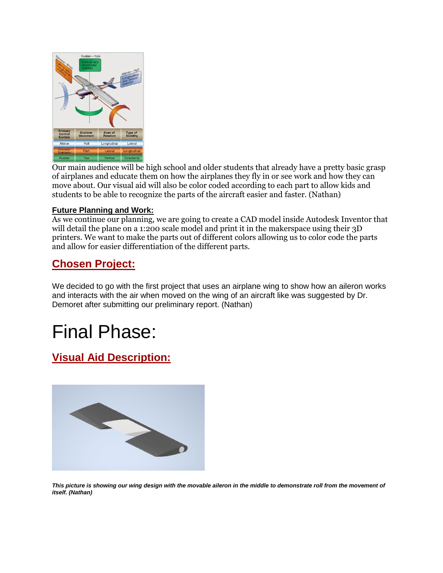

Our main audience will be high school and older students that already have a pretty basic grasp of airplanes and educate them on how the airplanes they fly in or see work and how they can move about. Our visual aid will also be color coded according to each part to allow kids and students to be able to recognize the parts of the aircraft easier and faster. (Nathan)

#### **Future Planning and Work:**

As we continue our planning, we are going to create a CAD model inside Autodesk Inventor that will detail the plane on a 1:200 scale model and print it in the makerspace using their 3D printers. We want to make the parts out of different colors allowing us to color code the parts and allow for easier differentiation of the different parts.

## **Chosen Project:**

We decided to go with the first project that uses an airplane wing to show how an aileron works and interacts with the air when moved on the wing of an aircraft like was suggested by Dr. Demoret after submitting our preliminary report. (Nathan)

# Final Phase:

## **Visual Aid Description:**



*This picture is showing our wing design with the movable aileron in the middle to demonstrate roll from the movement of itself. (Nathan)*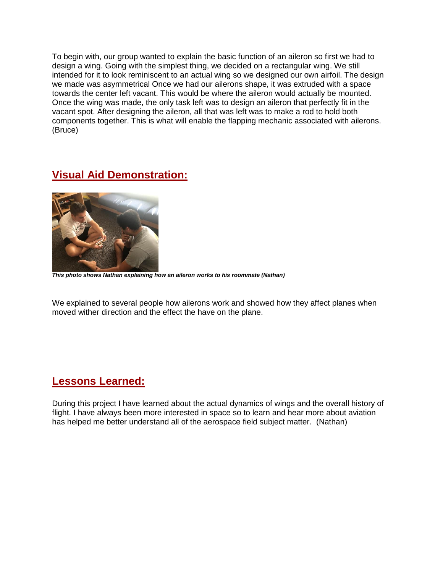To begin with, our group wanted to explain the basic function of an aileron so first we had to design a wing. Going with the simplest thing, we decided on a rectangular wing. We still intended for it to look reminiscent to an actual wing so we designed our own airfoil. The design we made was asymmetrical Once we had our ailerons shape, it was extruded with a space towards the center left vacant. This would be where the aileron would actually be mounted. Once the wing was made, the only task left was to design an aileron that perfectly fit in the vacant spot. After designing the aileron, all that was left was to make a rod to hold both components together. This is what will enable the flapping mechanic associated with ailerons. (Bruce)

## **Visual Aid Demonstration:**



*This photo shows Nathan explaining how an aileron works to his roommate (Nathan)*

We explained to several people how ailerons work and showed how they affect planes when moved wither direction and the effect the have on the plane.

## **Lessons Learned:**

During this project I have learned about the actual dynamics of wings and the overall history of flight. I have always been more interested in space so to learn and hear more about aviation has helped me better understand all of the aerospace field subject matter. (Nathan)